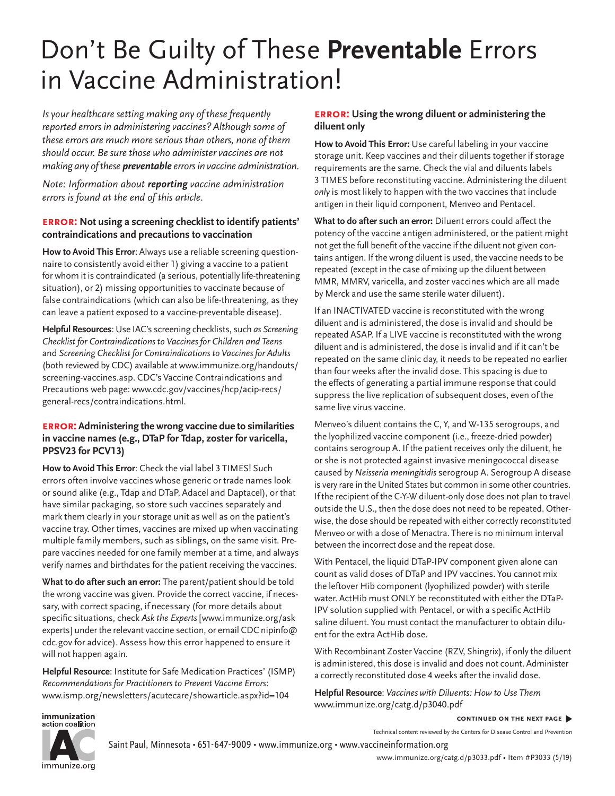# Don't Be Guilty of These **Preventable** Errors in Vaccine Administration!

*Is your healthcare setting making any of these frequently reported errors in administering vaccines? Although some of these errors are much more serious than others, none of them should occur. Be sure those who administer vaccines are not making any of these preventable errors in vaccine administration.*

*Note: Information about reporting vaccine administration errors is found at the end of this article.*

#### **error: Not using a screening checklist to identify patients' contraindications and precautions to vaccination**

**How to Avoid This Error**: Always use a reliable screening questionnaire to consistently avoid either 1) giving a vaccine to a patient for whom it is contraindicated (a serious, potentially life-threatening situation), or 2) missing opportunities to vaccinate because of false contraindications (which can also be life-threatening, as they can leave a patient exposed to a vaccine-preventable disease).

**Helpful Resources**: Use IAC's screening checklists, such *as Screening Checklist for Contraindications to Vaccines for Children and Teens* and *Screening Checklist for Contraindications to Vaccines for Adults*  (both reviewed by CDC) available at [www.immunize.org/handouts/](http://www.immunize.org/handouts/screening-vaccines.asp) [screening-vaccines.asp](http://www.immunize.org/handouts/screening-vaccines.asp). CDC's Vaccine Contraindications and Precautions web page: [www.cdc.gov/vaccines/hcp/acip-recs/](http://www.cdc.gov/vaccines/hcp/acip-recs/general-recs/contraindications.html) [general-recs/contraindications.html.](http://www.cdc.gov/vaccines/hcp/acip-recs/general-recs/contraindications.html)

#### **error: Administering the wrong vaccine due to similarities in vaccine names (e.g., DTaP for Tdap, zoster for varicella, PPSV23 for PCV13)**

**How to Avoid This Error**: Check the vial label 3 TIMES! Such errors often involve vaccines whose generic or trade names look or sound alike (e.g., Tdap and DTaP, Adacel and Daptacel), or that have similar packaging, so store such vaccines separately and mark them clearly in your storage unit as well as on the patient's vaccine tray. Other times, vaccines are mixed up when vaccinating multiple family members, such as siblings, on the same visit. Prepare vaccines needed for one family member at a time, and always verify names and birthdates for the patient receiving the vaccines.

**What to do after such an error:** The parent/patient should be told the wrong vaccine was given. Provide the correct vaccine, if necessary, with correct spacing, if necessary (for more details about specific situations, check *Ask the Experts* [[www.immunize.org/ask](http://www.immunize.org/askexperts) [experts](http://www.immunize.org/askexperts)] under the relevant vaccine section, or email CDC [nipinfo@](mailto:nipinfo@cdc.gov) [cdc.gov](mailto:nipinfo@cdc.gov) for advice). Assess how this error happened to ensure it will not happen again.

**Helpful Resource**: Institute for Safe Medication Practices' (ISMP) *Recommendations for Practitioners to Prevent Vaccine Errors*: [www.ismp.org/newsletters/acutecare/showarticle.aspx?id=104](http://www.ismp.org/newsletters/acutecare/showarticle.aspx?id=104)

#### **error: Using the wrong diluent or administering the diluent only**

**How to Avoid This Error:** Use careful labeling in your vaccine storage unit. Keep vaccines and their diluents together if storage requirements are the same. Check the vial and diluents labels 3 TIMES before reconstituting vaccine. Administering the diluent *only* is most likely to happen with the two vaccines that include antigen in their liquid component, Menveo and Pentacel.

**What to do after such an error:** Diluent errors could affect the potency of the vaccine antigen administered, or the patient might not get the full benefit of the vaccine if the diluent not given contains antigen. If the wrong diluent is used, the vaccine needs to be repeated (except in the case of mixing up the diluent between MMR, MMRV, varicella, and zoster vaccines which are all made by Merck and use the same sterile water diluent).

If an INACTIVATED vaccine is reconstituted with the wrong diluent and is administered, the dose is invalid and should be repeated ASAP. If a LIVE vaccine is reconstituted with the wrong diluent and is administered, the dose is invalid and if it can't be repeated on the same clinic day, it needs to be repeated no earlier than four weeks after the invalid dose. This spacing is due to the effects of generating a partial immune response that could suppress the live replication of subsequent doses, even of the same live virus vaccine.

Menveo's diluent contains the C, Y, and W-135 serogroups, and the lyophilized vaccine component (i.e., freeze-dried powder) contains serogroup A. If the patient receives only the diluent, he or she is not protected against invasive meningococcal disease caused by *Neisseria meningitidis* serogroup A. Serogroup A disease is very rare in the United States but common in some other countries. If the recipient of the C-Y-W diluent-only dose does not plan to travel outside the U.S., then the dose does not need to be repeated. Otherwise, the dose should be repeated with either correctly reconstituted Menveo or with a dose of Menactra. There is no minimum interval between the incorrect dose and the repeat dose.

With Pentacel, the liquid DTaP-IPV component given alone can count as valid doses of DTaP and IPV vaccines. You cannot mix the leftover Hib component (lyophilized powder) with sterile water. ActHib must ONLY be reconstituted with either the DTaP-IPV solution supplied with Pentacel, or with a specific ActHib saline diluent. You must contact the manufacturer to obtain diluent for the extra ActHib dose.

With Recombinant Zoster Vaccine (RZV, Shingrix), if only the diluent is administered, this dose is invalid and does not count. Administer a correctly reconstituted dose 4 weeks after the invalid dose.

**Helpful Resource**: *Vaccines with Diluents: How to Use Them*  [www.immunize.org/catg.d/p3040.pdf](http://www.immunize.org/catg.d/p3040.pdf)

**continued on the next page** �

Technical content reviewed by the Centers for Disease Control and Prevention

Saint Paul, Minnesota • 651-647-9009 • [www.immunize.org](http://www.immunize.org) • [www.vaccineinformation.org](http://www.vaccineinformation.org)

[www.immunize.org/catg.d/p3033.pdf](http://www.immunize.org/catg.d/p3033.pdf) • Item #P3033 (5/19)

immunization action coalition

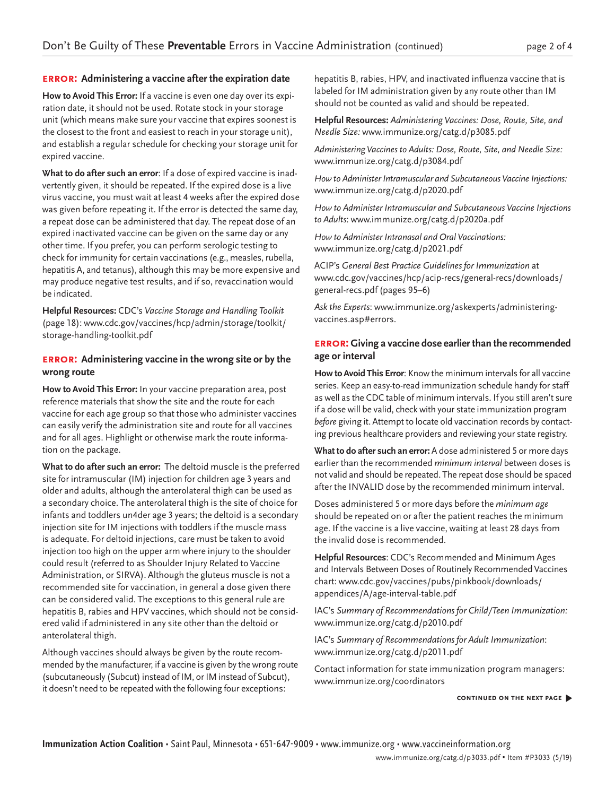#### **error: Administering a vaccine after the expiration date**

**How to Avoid This Error:** If a vaccine is even one day over its expiration date, it should not be used. Rotate stock in your storage unit (which means make sure your vaccine that expires soonest is the closest to the front and easiest to reach in your storage unit), and establish a regular schedule for checking your storage unit for expired vaccine.

**What to do after such an error**: If a dose of expired vaccine is inadvertently given, it should be repeated. If the expired dose is a live virus vaccine, you must wait at least 4 weeks after the expired dose was given before repeating it. If the error is detected the same day, a repeat dose can be administered that day. The repeat dose of an expired inactivated vaccine can be given on the same day or any other time. If you prefer, you can perform serologic testing to check for immunity for certain vaccinations (e.g., measles, rubella, hepatitis A, and tetanus), although this may be more expensive and may produce negative test results, and if so, revaccination would be indicated.

**Helpful Resources:** CDC's *Vaccine Storage and Handling Toolkit* (page 18): [www.cdc.gov/vaccines/hcp/admin/storage/toolkit/](http://www.cdc.gov/vaccines/hcp/admin/storage/toolkit/storage-handling-toolkit.pdf) [storage-handling-toolkit.pdf](http://www.cdc.gov/vaccines/hcp/admin/storage/toolkit/storage-handling-toolkit.pdf)

#### **error: Administering vaccine in the wrong site or by the wrong route**

**How to Avoid This Error:** In your vaccine preparation area, post reference materials that show the site and the route for each vaccine for each age group so that those who administer vaccines can easily verify the administration site and route for all vaccines and for all ages. Highlight or otherwise mark the route information on the package.

**What to do after such an error:** The deltoid muscle is the preferred site for intramuscular (IM) injection for children age 3 years and older and adults, although the anterolateral thigh can be used as a secondary choice. The anterolateral thigh is the site of choice for infants and toddlers un4der age 3 years; the deltoid is a secondary injection site for IM injections with toddlers if the muscle mass is adequate. For deltoid injections, care must be taken to avoid injection too high on the upper arm where injury to the shoulder could result (referred to as Shoulder Injury Related to Vaccine Administration, or SIRVA). Although the gluteus muscle is not a recommended site for vaccination, in general a dose given there can be considered valid. The exceptions to this general rule are hepatitis B, rabies and HPV vaccines, which should not be considered valid if administered in any site other than the deltoid or anterolateral thigh.

Although vaccines should always be given by the route recommended by the manufacturer, if a vaccine is given by the wrong route (subcutaneously (Subcut) instead of IM, or IM instead of Subcut), it doesn't need to be repeated with the following four exceptions:

hepatitis B, rabies, HPV, and inactivated influenza vaccine that is labeled for IM administration given by any route other than IM should not be counted as valid and should be repeated.

**Helpful Resources:** *Administering Vaccines: Dose, Route, Site, and Needle Size:* w[ww.immunize.org/catg.d/p3085.pdf](http://www.immunize.org/catg.d/p3085.pdf)

*Administering Vaccines to Adults: Dose, Route, Site, and Needle Size:*  [www.immunize.org/catg.d/p3084.pdf](http://www.immunize.org/catg.d/p3084.pdf)

*How to Administer Intramuscular and Subcutaneous Vaccine Injections:*  [www.immunize.org/catg.d/p2020.pdf](http://www.immunize.org/catg.d/p2020.pdf)

*How to Administer Intramuscular and Subcutaneous Vaccine Injections to Adults*: [www.immunize.org/catg.d/p2020a.pdf](http://www.immunize.org/catg.d/p2020a.pdf)

*How to Administer Intranasal and Oral Vaccinations:* [www.immunize.org/catg.d/p2021.pdf](http://www.immunize.org/catg.d/p2021.pdf)

ACIP's *General Best Practice Guidelines for Immunization* at [www.cdc.gov/vaccines/hcp/acip-recs/general-recs/downloads/](http://www.cdc.gov/vaccines/hcp/acip-recs/general-recs/downloads/general-recs.pdf) [general-recs.pdf](http://www.cdc.gov/vaccines/hcp/acip-recs/general-recs/downloads/general-recs.pdf) (pages 95–6)

*Ask the Experts*: [www.immunize.org/askexperts/administering](http://www.immunize.org/askexperts/administering-vaccines.asp#errors)[vaccines.asp#errors](http://www.immunize.org/askexperts/administering-vaccines.asp#errors).

#### **error: Giving a vaccine dose earlier than the recommended age or interval**

**How to Avoid This Error**: Know the minimum intervals for all vaccine series. Keep an easy-to-read immunization schedule handy for staff as well as the CDC table of minimum intervals. If you still aren't sure if a dose will be valid, check with your state immunization program *before* giving it. Attempt to locate old vaccination records by contacting previous healthcare providers and reviewing your state registry.

**What to do after such an error:** A dose administered 5 or more days earlier than the recommended *minimum interval* between doses is not valid and should be repeated. The repeat dose should be spaced after the INVALID dose by the recommended minimum interval.

Doses administered 5 or more days before the *minimum age* should be repeated on or after the patient reaches the minimum age. If the vaccine is a live vaccine, waiting at least 28 days from the invalid dose is recommended.

**Helpful Resources**: CDC's Recommended and Minimum Ages and Intervals Between Doses of Routinely Recommended Vaccines chart: [www.cdc.gov/vaccines/pubs/pinkbook/downloads/](http://www.cdc.gov/vaccines/pubs/pinkbook/downloads/appendices/A/age-interval-table.pdf) [appendices/A/age-interval-table.pdf](http://www.cdc.gov/vaccines/pubs/pinkbook/downloads/appendices/A/age-interval-table.pdf)

IAC's *Summary of Recommendations for Child/Teen Immunization:* [www.immunize.org/catg.d/p2010.pdf](http://www.immunize.org/catg.d/p2010.pdf)

IAC's *Summary of Recommendations for Adult Immunization*: [www.immunize.org/catg.d/p2011.pdf](http://www.immunize.org/catg.d/p2011.pdf)

Contact information for state immunization program managers: [www.immunize.org/coordinators](http://www.immunize.org/coordinators)

**continued on the next page** �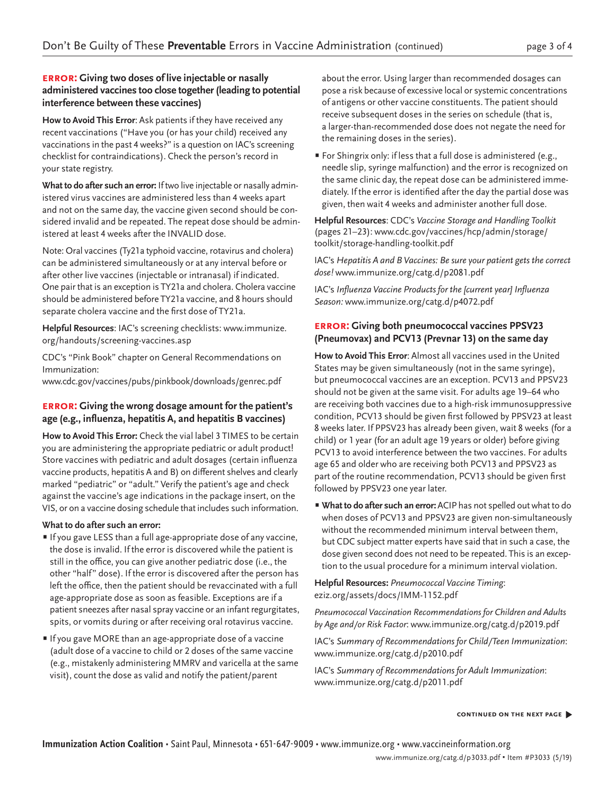#### **error: Giving two doses of live injectable or nasally administered vaccines too close together (leading to potential interference between these vaccines)**

**How to Avoid This Error**: Ask patients if they have received any recent vaccinations ("Have you (or has your child) received any vaccinations in the past 4 weeks?" is a question on IAC's screening checklist for contraindications). Check the person's record in your state registry.

**What to do after such an error:** If two live injectable or nasally administered virus vaccines are administered less than 4 weeks apart and not on the same day, the vaccine given second should be considered invalid and be repeated. The repeat dose should be administered at least 4 weeks after the INVALID dose.

Note: Oral vaccines (Ty21a typhoid vaccine, rotavirus and cholera) can be administered simultaneously or at any interval before or after other live vaccines (injectable or intranasal) if indicated. One pair that is an exception is TY21a and cholera. Cholera vaccine should be administered before TY21a vaccine, and 8 hours should separate cholera vaccine and the first dose of TY21a.

**Helpful Resources**: IAC's screening checklists: [www.immunize.](http://www.immunize.org/handouts/screening-vaccines.asp) [org/handouts/screening-vaccines.asp](http://www.immunize.org/handouts/screening-vaccines.asp)

CDC's "Pink Book" chapter on General Recommendations on Immunization:

[www.cdc.gov/vaccines/pubs/pinkbook/downloads/genrec.pdf](http://www.cdc.gov/vaccines/pubs/pinkbook/downloads/genrec.pdf)

#### **error: Giving the wrong dosage amount for the patient's age (e.g., influenza, hepatitis A, and hepatitis B vaccines)**

**How to Avoid This Error:** Check the vial label 3 TIMES to be certain you are administering the appropriate pediatric or adult product! Store vaccines with pediatric and adult dosages (certain influenza vaccine products, hepatitis A and B) on different shelves and clearly marked "pediatric" or "adult." Verify the patient's age and check against the vaccine's age indications in the package insert, on the VIS, or on a vaccine dosing schedule that includes such information.

#### **What to do after such an error:**

- If you gave LESS than a full age-appropriate dose of any vaccine, the dose is invalid. If the error is discovered while the patient is still in the office, you can give another pediatric dose (i.e., the other "half" dose). If the error is discovered after the person has left the office, then the patient should be revaccinated with a full age-appropriate dose as soon as feasible. Exceptions are if a patient sneezes after nasal spray vaccine or an infant regurgitates, spits, or vomits during or after receiving oral rotavirus vaccine.
- If you gave MORE than an age-appropriate dose of a vaccine (adult dose of a vaccine to child or 2 doses of the same vaccine (e.g., mistakenly administering MMRV and varicella at the same visit), count the dose as valid and notify the patient/parent

about the error. Using larger than recommended dosages can pose a risk because of excessive local or systemic concentrations of antigens or other vaccine constituents. The patient should receive subsequent doses in the series on schedule (that is, a larger-than-recommended dose does not negate the need for the remaining doses in the series).

• For Shingrix only: if less that a full dose is administered (e.g., needle slip, syringe malfunction) and the error is recognized on the same clinic day, the repeat dose can be administered immediately. If the error is identified after the day the partial dose was given, then wait 4 weeks and administer another full dose.

**Helpful Resources**: CDC's *Vaccine Storage and Handling Toolkit* (pages 21–23): [www.cdc.gov/vaccines/hcp/admin/storage/](http://www.cdc.gov/vaccines/hcp/admin/storage/toolkit/storage-handling-toolkit.pdf) [toolkit/storage-handling-toolkit.pdf](http://www.cdc.gov/vaccines/hcp/admin/storage/toolkit/storage-handling-toolkit.pdf)

IAC's *Hepatitis A and B Vaccines: Be sure your patient gets the correct dose!* [www.immunize.org/catg.d/p2081.pdf](http://www.immunize.org/catg.d/p2081.pdf)

IAC's Influenza Vaccine Products for the [current year] Influenza *Season:* [www.immunize.org/catg.d/p4072.pdf](http://www.immunize.org/catg.d/p4072.pdf)

#### **error: Giving both pneumococcal vaccines PPSV23 (Pneumovax) and PCV13 (Prevnar 13) on the same day**

**How to Avoid This Error**: Almost all vaccines used in the United States may be given simultaneously (not in the same syringe), but pneumococcal vaccines are an exception. PCV13 and PPSV23 should not be given at the same visit. For adults age 19–64 who are receiving both vaccines due to a high-risk immunosuppressive condition, PCV13 should be given first followed by PPSV23 at least 8 weeks later. If PPSV23 has already been given, wait 8 weeks (for a child) or 1 year (for an adult age 19 years or older) before giving PCV13 to avoid interference between the two vaccines. For adults age 65 and older who are receiving both PCV13 and PPSV23 as part of the routine recommendation, PCV13 should be given first followed by PPSV23 one year later.

• **What to do after such an error:** ACIP has not spelled out what to do when doses of PCV13 and PPSV23 are given non-simultaneously without the recommended minimum interval between them, but CDC subject matter experts have said that in such a case, the dose given second does not need to be repeated. This is an exception to the usual procedure for a minimum interval violation.

**Helpful Resources:** *Pneumococcal Vaccine Timing*: [eziz.org/assets/docs/IMM-1152.pdf](http://eziz.org/assets/docs/IMM-1152.pdf)

*Pneumococcal Vaccination Recommendations for Children and Adults by Age and/or Risk Factor*: [www.immunize.org/catg.d/p2019.pdf](http://www.immunize.org/catg.d/p2019.pdf)

IAC's *Summary of Recommendations for Child/Teen Immunization*: [www.immunize.org/catg.d/p2010.pdf](http://www.immunize.org/catg.d/p2010.pdf)

IAC's *Summary of Recommendations for Adult Immunization*: [www.immunize.org/catg.d/p2011.pdf](http://www.immunize.org/catg.d/p2011.pdf)

#### **continued on the next page** �